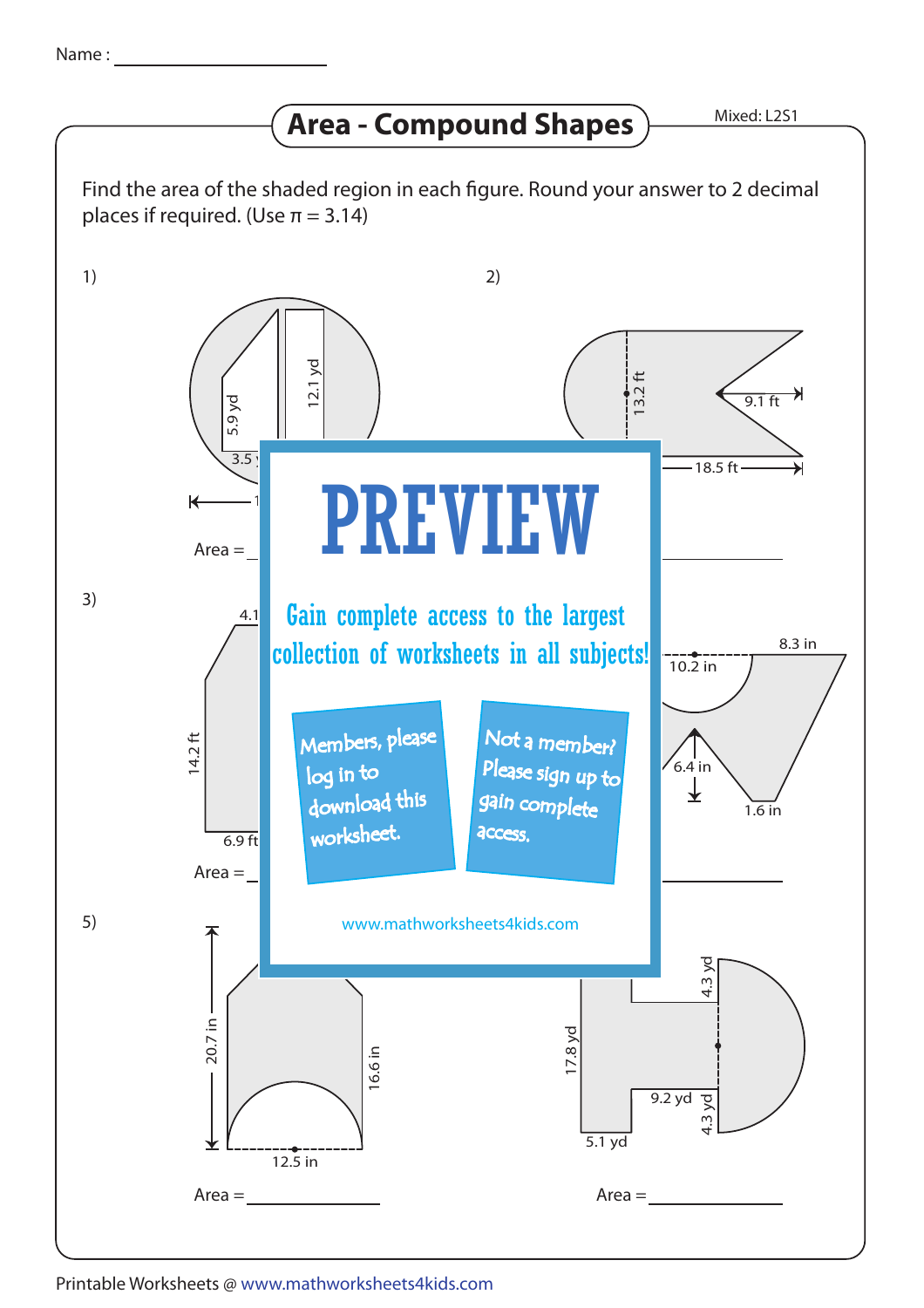## **Area - Compound Shapes**

Mixed: L2S1